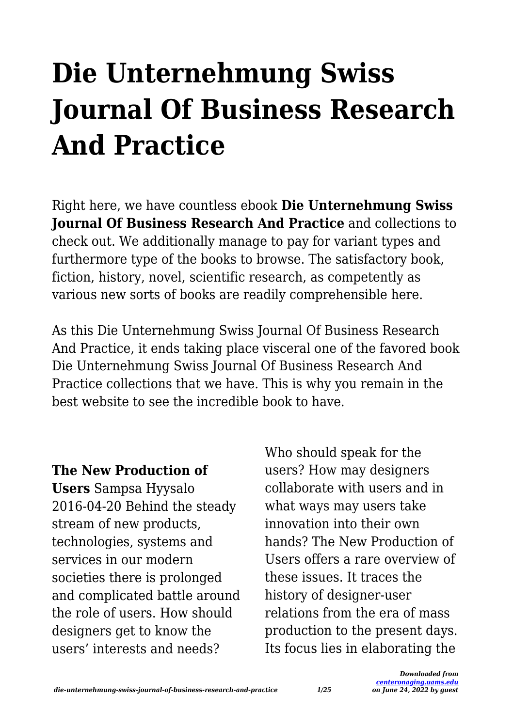# **Die Unternehmung Swiss Journal Of Business Research And Practice**

Right here, we have countless ebook **Die Unternehmung Swiss Journal Of Business Research And Practice** and collections to check out. We additionally manage to pay for variant types and furthermore type of the books to browse. The satisfactory book, fiction, history, novel, scientific research, as competently as various new sorts of books are readily comprehensible here.

As this Die Unternehmung Swiss Journal Of Business Research And Practice, it ends taking place visceral one of the favored book Die Unternehmung Swiss Journal Of Business Research And Practice collections that we have. This is why you remain in the best website to see the incredible book to have.

#### **The New Production of**

**Users** Sampsa Hyysalo 2016-04-20 Behind the steady stream of new products, technologies, systems and services in our modern societies there is prolonged and complicated battle around the role of users. How should designers get to know the users' interests and needs?

Who should speak for the users? How may designers collaborate with users and in what ways may users take innovation into their own hands? The New Production of Users offers a rare overview of these issues. It traces the history of designer-user relations from the era of mass production to the present days. Its focus lies in elaborating the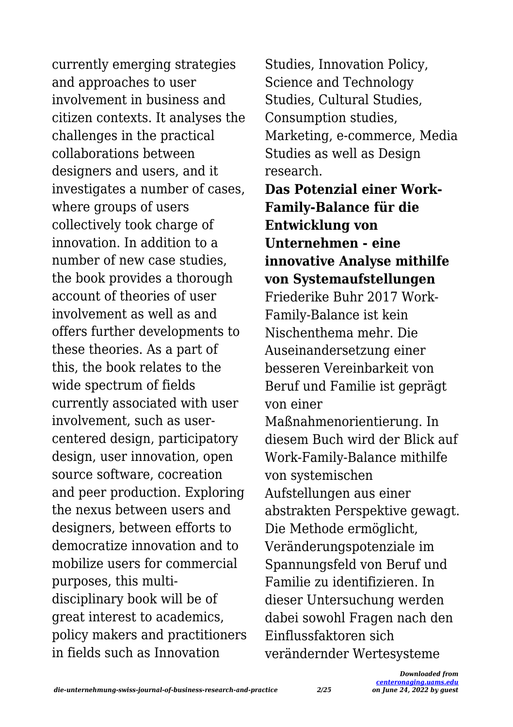currently emerging strategies and approaches to user involvement in business and citizen contexts. It analyses the challenges in the practical collaborations between designers and users, and it investigates a number of cases, where groups of users collectively took charge of innovation. In addition to a number of new case studies, the book provides a thorough account of theories of user involvement as well as and offers further developments to these theories. As a part of this, the book relates to the wide spectrum of fields currently associated with user involvement, such as usercentered design, participatory design, user innovation, open source software, cocreation and peer production. Exploring the nexus between users and designers, between efforts to democratize innovation and to mobilize users for commercial purposes, this multidisciplinary book will be of great interest to academics, policy makers and practitioners in fields such as Innovation

Studies, Innovation Policy, Science and Technology Studies, Cultural Studies, Consumption studies, Marketing, e-commerce, Media Studies as well as Design research.

**Das Potenzial einer Work-Family-Balance für die Entwicklung von Unternehmen - eine innovative Analyse mithilfe von Systemaufstellungen**

Friederike Buhr 2017 Work-Family-Balance ist kein Nischenthema mehr. Die Auseinandersetzung einer besseren Vereinbarkeit von Beruf und Familie ist geprägt von einer

Maßnahmenorientierung. In diesem Buch wird der Blick auf Work-Family-Balance mithilfe von systemischen Aufstellungen aus einer abstrakten Perspektive gewagt. Die Methode ermöglicht, Veränderungspotenziale im Spannungsfeld von Beruf und Familie zu identifizieren. In dieser Untersuchung werden dabei sowohl Fragen nach den Einflussfaktoren sich verändernder Wertesysteme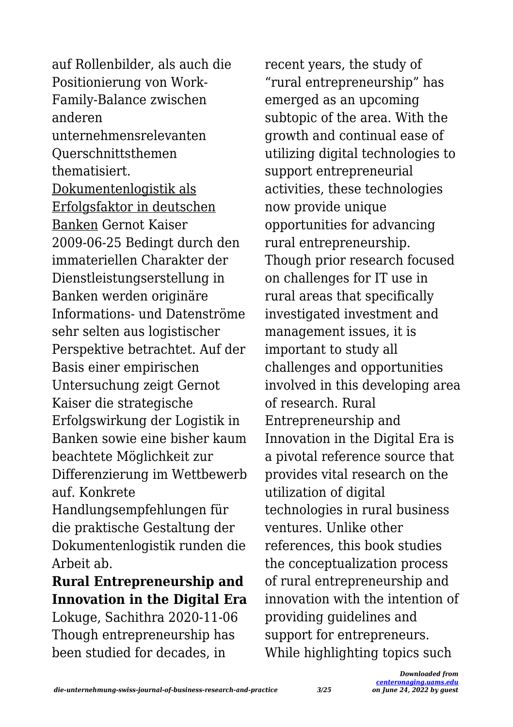auf Rollenbilder, als auch die Positionierung von Work-Family-Balance zwischen anderen unternehmensrelevanten Querschnittsthemen thematisiert. Dokumentenlogistik als Erfolgsfaktor in deutschen Banken Gernot Kaiser 2009-06-25 Bedingt durch den immateriellen Charakter der Dienstleistungserstellung in Banken werden originäre Informations- und Datenströme sehr selten aus logistischer Perspektive betrachtet. Auf der Basis einer empirischen Untersuchung zeigt Gernot Kaiser die strategische Erfolgswirkung der Logistik in Banken sowie eine bisher kaum beachtete Möglichkeit zur Differenzierung im Wettbewerb auf. Konkrete Handlungsempfehlungen für

die praktische Gestaltung der Dokumentenlogistik runden die Arbeit ab.

#### **Rural Entrepreneurship and Innovation in the Digital Era**

Lokuge, Sachithra 2020-11-06 Though entrepreneurship has been studied for decades, in

recent years, the study of "rural entrepreneurship" has emerged as an upcoming subtopic of the area. With the growth and continual ease of utilizing digital technologies to support entrepreneurial activities, these technologies now provide unique opportunities for advancing rural entrepreneurship. Though prior research focused on challenges for IT use in rural areas that specifically investigated investment and management issues, it is important to study all challenges and opportunities involved in this developing area of research. Rural Entrepreneurship and Innovation in the Digital Era is a pivotal reference source that provides vital research on the utilization of digital technologies in rural business ventures. Unlike other references, this book studies the conceptualization process of rural entrepreneurship and innovation with the intention of providing guidelines and support for entrepreneurs. While highlighting topics such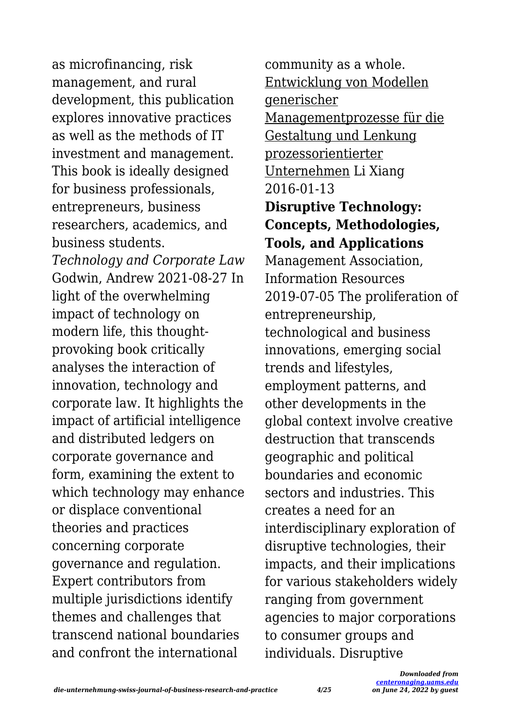as microfinancing, risk management, and rural development, this publication explores innovative practices as well as the methods of IT investment and management. This book is ideally designed for business professionals, entrepreneurs, business researchers, academics, and business students. *Technology and Corporate Law* Godwin, Andrew 2021-08-27 In light of the overwhelming impact of technology on modern life, this thoughtprovoking book critically analyses the interaction of innovation, technology and corporate law. It highlights the impact of artificial intelligence and distributed ledgers on corporate governance and form, examining the extent to which technology may enhance or displace conventional theories and practices concerning corporate governance and regulation. Expert contributors from multiple jurisdictions identify themes and challenges that transcend national boundaries and confront the international

community as a whole. Entwicklung von Modellen generischer Managementprozesse für die Gestaltung und Lenkung prozessorientierter Unternehmen Li Xiang 2016-01-13 **Disruptive Technology: Concepts, Methodologies, Tools, and Applications** Management Association, Information Resources 2019-07-05 The proliferation of entrepreneurship, technological and business innovations, emerging social trends and lifestyles, employment patterns, and other developments in the global context involve creative destruction that transcends geographic and political boundaries and economic sectors and industries. This creates a need for an interdisciplinary exploration of disruptive technologies, their impacts, and their implications for various stakeholders widely ranging from government agencies to major corporations to consumer groups and individuals. Disruptive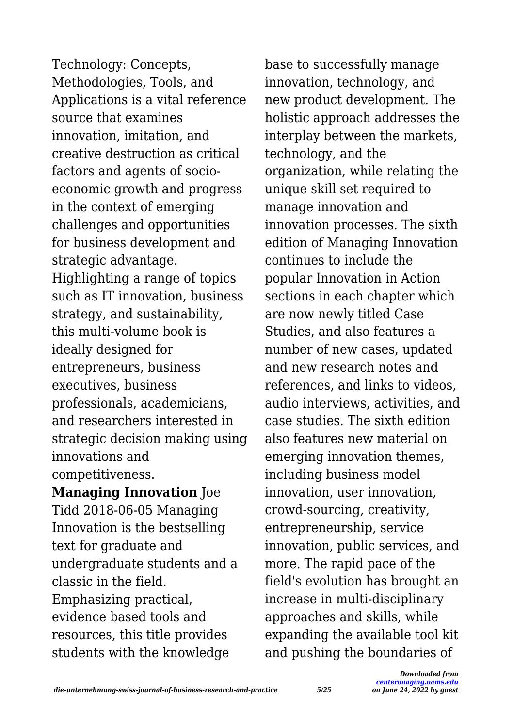Technology: Concepts, Methodologies, Tools, and Applications is a vital reference source that examines innovation, imitation, and creative destruction as critical factors and agents of socioeconomic growth and progress in the context of emerging challenges and opportunities for business development and strategic advantage. Highlighting a range of topics such as IT innovation, business strategy, and sustainability, this multi-volume book is ideally designed for entrepreneurs, business executives, business professionals, academicians, and researchers interested in strategic decision making using innovations and competitiveness.

**Managing Innovation** Joe Tidd 2018-06-05 Managing Innovation is the bestselling text for graduate and undergraduate students and a classic in the field. Emphasizing practical, evidence based tools and resources, this title provides students with the knowledge

base to successfully manage innovation, technology, and new product development. The holistic approach addresses the interplay between the markets, technology, and the organization, while relating the unique skill set required to manage innovation and innovation processes. The sixth edition of Managing Innovation continues to include the popular Innovation in Action sections in each chapter which are now newly titled Case Studies, and also features a number of new cases, updated and new research notes and references, and links to videos, audio interviews, activities, and case studies. The sixth edition also features new material on emerging innovation themes, including business model innovation, user innovation, crowd-sourcing, creativity, entrepreneurship, service innovation, public services, and more. The rapid pace of the field's evolution has brought an increase in multi-disciplinary approaches and skills, while expanding the available tool kit and pushing the boundaries of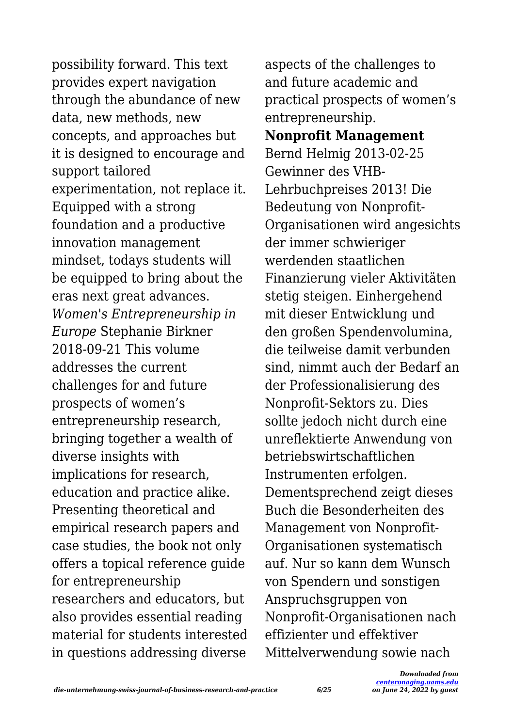possibility forward. This text provides expert navigation through the abundance of new data, new methods, new concepts, and approaches but it is designed to encourage and support tailored experimentation, not replace it. Equipped with a strong foundation and a productive innovation management mindset, todays students will be equipped to bring about the eras next great advances. *Women's Entrepreneurship in Europe* Stephanie Birkner 2018-09-21 This volume addresses the current challenges for and future prospects of women's entrepreneurship research, bringing together a wealth of diverse insights with implications for research, education and practice alike. Presenting theoretical and empirical research papers and case studies, the book not only offers a topical reference guide for entrepreneurship researchers and educators, but also provides essential reading material for students interested in questions addressing diverse

aspects of the challenges to and future academic and practical prospects of women's entrepreneurship. **Nonprofit Management** Bernd Helmig 2013-02-25 Gewinner des VHB-Lehrbuchpreises 2013! Die Bedeutung von Nonprofit-Organisationen wird angesichts der immer schwieriger werdenden staatlichen Finanzierung vieler Aktivitäten stetig steigen. Einhergehend mit dieser Entwicklung und den großen Spendenvolumina, die teilweise damit verbunden sind, nimmt auch der Bedarf an der Professionalisierung des Nonprofit-Sektors zu. Dies sollte jedoch nicht durch eine unreflektierte Anwendung von betriebswirtschaftlichen Instrumenten erfolgen. Dementsprechend zeigt dieses Buch die Besonderheiten des Management von Nonprofit-Organisationen systematisch auf. Nur so kann dem Wunsch von Spendern und sonstigen Anspruchsgruppen von Nonprofit-Organisationen nach effizienter und effektiver Mittelverwendung sowie nach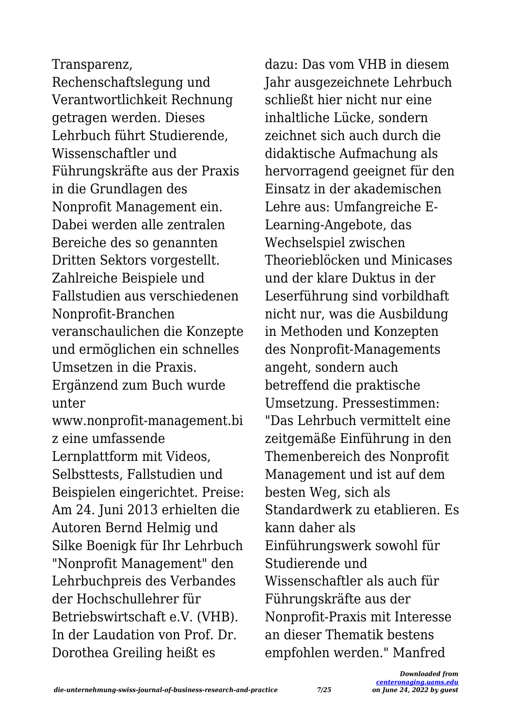#### Transparenz,

Rechenschaftslegung und Verantwortlichkeit Rechnung getragen werden. Dieses Lehrbuch führt Studierende, Wissenschaftler und Führungskräfte aus der Praxis in die Grundlagen des Nonprofit Management ein. Dabei werden alle zentralen Bereiche des so genannten Dritten Sektors vorgestellt. Zahlreiche Beispiele und Fallstudien aus verschiedenen Nonprofit-Branchen veranschaulichen die Konzepte und ermöglichen ein schnelles Umsetzen in die Praxis. Ergänzend zum Buch wurde unter www.nonprofit-management.bi z eine umfassende Lernplattform mit Videos, Selbsttests, Fallstudien und Beispielen eingerichtet. Preise: Am 24. Juni 2013 erhielten die Autoren Bernd Helmig und Silke Boenigk für Ihr Lehrbuch "Nonprofit Management" den Lehrbuchpreis des Verbandes der Hochschullehrer für Betriebswirtschaft e.V. (VHB). In der Laudation von Prof. Dr. Dorothea Greiling heißt es

dazu: Das vom VHB in diesem Jahr ausgezeichnete Lehrbuch schließt hier nicht nur eine inhaltliche Lücke, sondern zeichnet sich auch durch die didaktische Aufmachung als hervorragend geeignet für den Einsatz in der akademischen Lehre aus: Umfangreiche E-Learning-Angebote, das Wechselspiel zwischen Theorieblöcken und Minicases und der klare Duktus in der Leserführung sind vorbildhaft nicht nur, was die Ausbildung in Methoden und Konzepten des Nonprofit-Managements angeht, sondern auch betreffend die praktische Umsetzung. Pressestimmen: "Das Lehrbuch vermittelt eine zeitgemäße Einführung in den Themenbereich des Nonprofit Management und ist auf dem besten Weg, sich als Standardwerk zu etablieren. Es kann daher als Einführungswerk sowohl für Studierende und Wissenschaftler als auch für Führungskräfte aus der Nonprofit-Praxis mit Interesse an dieser Thematik bestens empfohlen werden." Manfred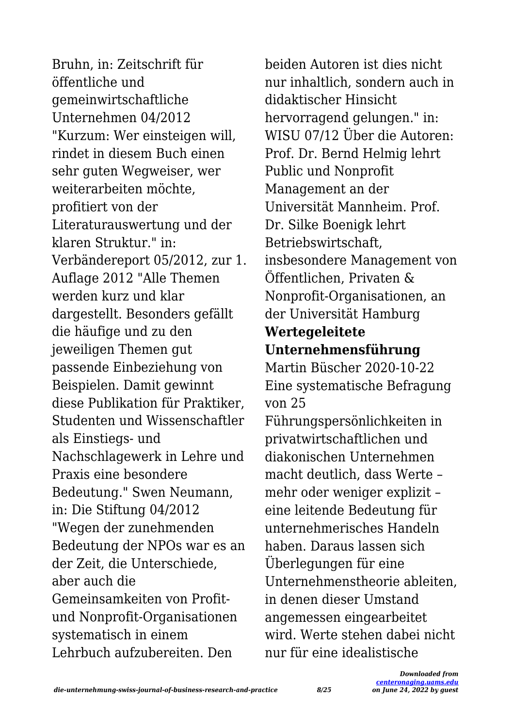Bruhn, in: Zeitschrift für öffentliche und gemeinwirtschaftliche Unternehmen 04/2012 "Kurzum: Wer einsteigen will, rindet in diesem Buch einen sehr guten Wegweiser, wer weiterarbeiten möchte, profitiert von der Literaturauswertung und der klaren Struktur." in: Verbändereport 05/2012, zur 1. Auflage 2012 "Alle Themen werden kurz und klar dargestellt. Besonders gefällt die häufige und zu den jeweiligen Themen gut passende Einbeziehung von Beispielen. Damit gewinnt diese Publikation für Praktiker, Studenten und Wissenschaftler als Einstiegs- und Nachschlagewerk in Lehre und Praxis eine besondere Bedeutung." Swen Neumann, in: Die Stiftung 04/2012 "Wegen der zunehmenden Bedeutung der NPOs war es an der Zeit, die Unterschiede, aber auch die Gemeinsamkeiten von Profitund Nonprofit-Organisationen systematisch in einem Lehrbuch aufzubereiten. Den

beiden Autoren ist dies nicht nur inhaltlich, sondern auch in didaktischer Hinsicht hervorragend gelungen." in: WISU 07/12 Über die Autoren: Prof. Dr. Bernd Helmig lehrt Public und Nonprofit Management an der Universität Mannheim. Prof. Dr. Silke Boenigk lehrt Betriebswirtschaft, insbesondere Management von Öffentlichen, Privaten & Nonprofit-Organisationen, an der Universität Hamburg **Wertegeleitete Unternehmensführung** Martin Büscher 2020-10-22 Eine systematische Befragung von 25 Führungspersönlichkeiten in privatwirtschaftlichen und diakonischen Unternehmen macht deutlich, dass Werte – mehr oder weniger explizit – eine leitende Bedeutung für unternehmerisches Handeln haben. Daraus lassen sich Überlegungen für eine Unternehmenstheorie ableiten, in denen dieser Umstand angemessen eingearbeitet wird. Werte stehen dabei nicht nur für eine idealistische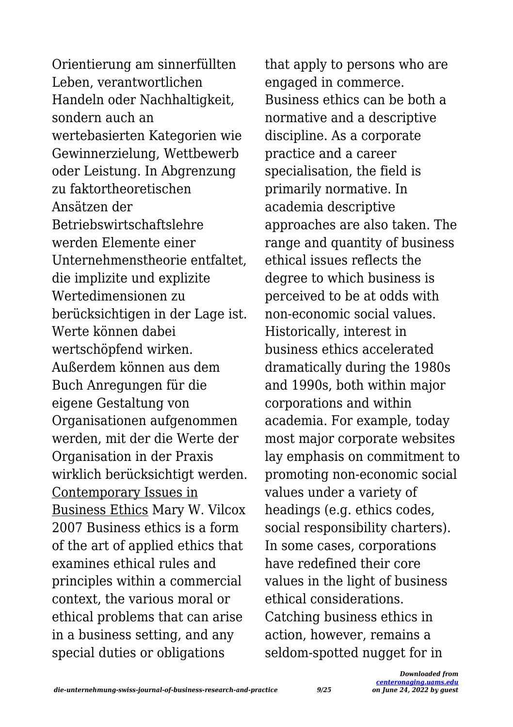Orientierung am sinnerfüllten Leben, verantwortlichen Handeln oder Nachhaltigkeit, sondern auch an wertebasierten Kategorien wie Gewinnerzielung, Wettbewerb oder Leistung. In Abgrenzung zu faktortheoretischen Ansätzen der Betriebswirtschaftslehre werden Elemente einer Unternehmenstheorie entfaltet, die implizite und explizite Wertedimensionen zu berücksichtigen in der Lage ist. Werte können dabei wertschöpfend wirken. Außerdem können aus dem Buch Anregungen für die eigene Gestaltung von Organisationen aufgenommen werden, mit der die Werte der Organisation in der Praxis wirklich berücksichtigt werden. Contemporary Issues in Business Ethics Mary W. Vilcox 2007 Business ethics is a form of the art of applied ethics that examines ethical rules and principles within a commercial context, the various moral or ethical problems that can arise in a business setting, and any special duties or obligations

that apply to persons who are engaged in commerce. Business ethics can be both a normative and a descriptive discipline. As a corporate practice and a career specialisation, the field is primarily normative. In academia descriptive approaches are also taken. The range and quantity of business ethical issues reflects the degree to which business is perceived to be at odds with non-economic social values. Historically, interest in business ethics accelerated dramatically during the 1980s and 1990s, both within major corporations and within academia. For example, today most major corporate websites lay emphasis on commitment to promoting non-economic social values under a variety of headings (e.g. ethics codes, social responsibility charters). In some cases, corporations have redefined their core values in the light of business ethical considerations. Catching business ethics in action, however, remains a seldom-spotted nugget for in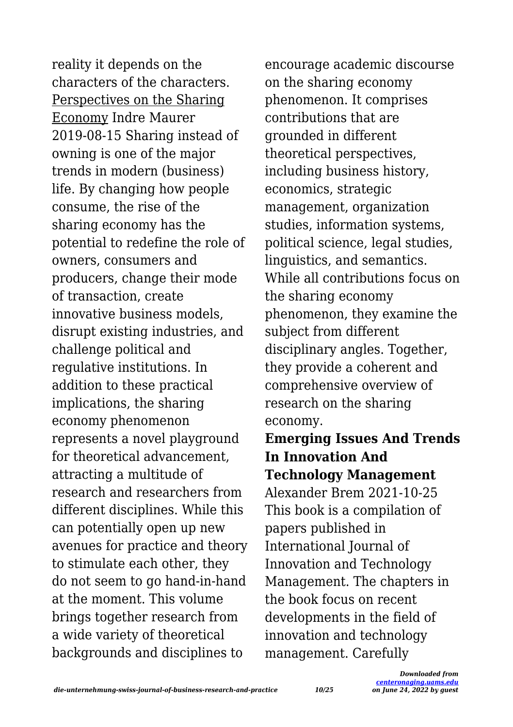reality it depends on the characters of the characters. Perspectives on the Sharing Economy Indre Maurer 2019-08-15 Sharing instead of owning is one of the major trends in modern (business) life. By changing how people consume, the rise of the sharing economy has the potential to redefine the role of owners, consumers and producers, change their mode of transaction, create innovative business models, disrupt existing industries, and challenge political and regulative institutions. In addition to these practical implications, the sharing economy phenomenon represents a novel playground for theoretical advancement, attracting a multitude of research and researchers from different disciplines. While this can potentially open up new avenues for practice and theory to stimulate each other, they do not seem to go hand-in-hand at the moment. This volume brings together research from a wide variety of theoretical backgrounds and disciplines to

encourage academic discourse on the sharing economy phenomenon. It comprises contributions that are grounded in different theoretical perspectives, including business history, economics, strategic management, organization studies, information systems, political science, legal studies, linguistics, and semantics. While all contributions focus on the sharing economy phenomenon, they examine the subject from different disciplinary angles. Together, they provide a coherent and comprehensive overview of research on the sharing economy.

**Emerging Issues And Trends In Innovation And Technology Management** Alexander Brem 2021-10-25 This book is a compilation of papers published in International Journal of Innovation and Technology Management. The chapters in the book focus on recent developments in the field of innovation and technology management. Carefully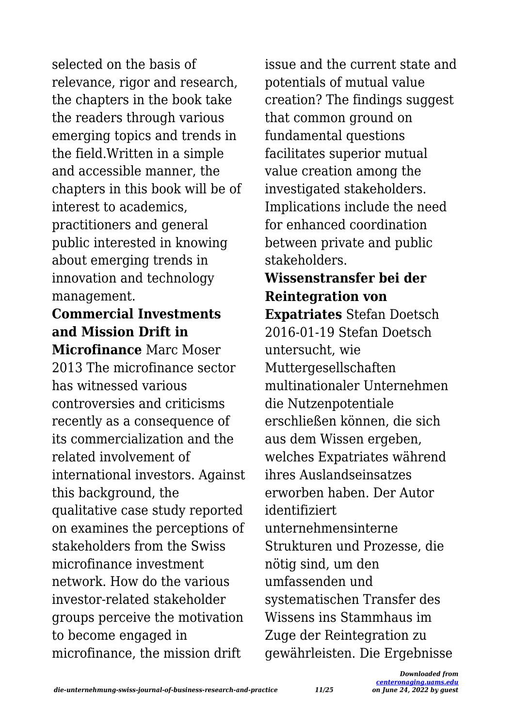selected on the basis of relevance, rigor and research, the chapters in the book take the readers through various emerging topics and trends in the field.Written in a simple and accessible manner, the chapters in this book will be of interest to academics, practitioners and general public interested in knowing about emerging trends in innovation and technology management.

### **Commercial Investments and Mission Drift in**

**Microfinance** Marc Moser 2013 The microfinance sector has witnessed various controversies and criticisms recently as a consequence of its commercialization and the related involvement of international investors. Against this background, the qualitative case study reported on examines the perceptions of stakeholders from the Swiss microfinance investment network. How do the various investor-related stakeholder groups perceive the motivation to become engaged in microfinance, the mission drift

issue and the current state and potentials of mutual value creation? The findings suggest that common ground on fundamental questions facilitates superior mutual value creation among the investigated stakeholders. Implications include the need for enhanced coordination between private and public stakeholders.

# **Wissenstransfer bei der Reintegration von**

**Expatriates** Stefan Doetsch 2016-01-19 Stefan Doetsch untersucht, wie Muttergesellschaften multinationaler Unternehmen die Nutzenpotentiale erschließen können, die sich aus dem Wissen ergeben, welches Expatriates während ihres Auslandseinsatzes erworben haben. Der Autor identifiziert unternehmensinterne Strukturen und Prozesse, die nötig sind, um den umfassenden und systematischen Transfer des Wissens ins Stammhaus im Zuge der Reintegration zu gewährleisten. Die Ergebnisse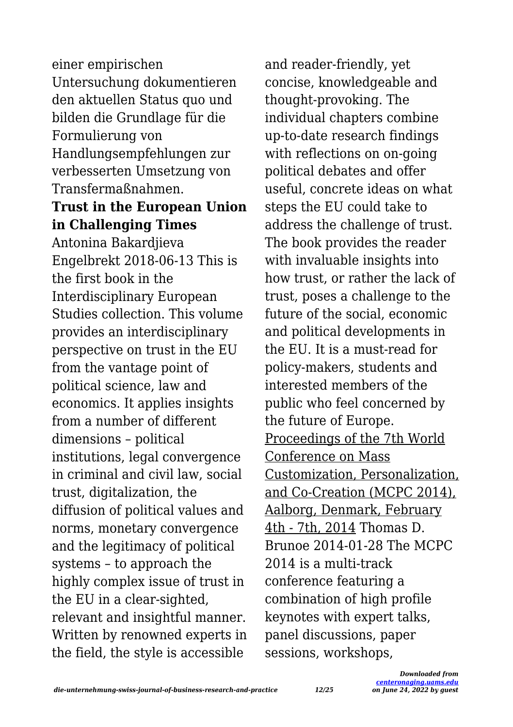einer empirischen Untersuchung dokumentieren den aktuellen Status quo und bilden die Grundlage für die Formulierung von Handlungsempfehlungen zur verbesserten Umsetzung von Transfermaßnahmen.

#### **Trust in the European Union in Challenging Times**

Antonina Bakardjieva Engelbrekt 2018-06-13 This is the first book in the Interdisciplinary European Studies collection. This volume provides an interdisciplinary perspective on trust in the EU from the vantage point of political science, law and economics. It applies insights from a number of different dimensions – political institutions, legal convergence in criminal and civil law, social trust, digitalization, the diffusion of political values and norms, monetary convergence and the legitimacy of political systems – to approach the highly complex issue of trust in the EU in a clear-sighted, relevant and insightful manner. Written by renowned experts in the field, the style is accessible

and reader-friendly, yet concise, knowledgeable and thought-provoking. The individual chapters combine up-to-date research findings with reflections on on-going political debates and offer useful, concrete ideas on what steps the EU could take to address the challenge of trust. The book provides the reader with invaluable insights into how trust, or rather the lack of trust, poses a challenge to the future of the social, economic and political developments in the EU. It is a must-read for policy-makers, students and interested members of the public who feel concerned by the future of Europe. Proceedings of the 7th World Conference on Mass Customization, Personalization, and Co-Creation (MCPC 2014), Aalborg, Denmark, February 4th - 7th, 2014 Thomas D. Brunoe 2014-01-28 The MCPC 2014 is a multi-track conference featuring a combination of high profile keynotes with expert talks, panel discussions, paper sessions, workshops,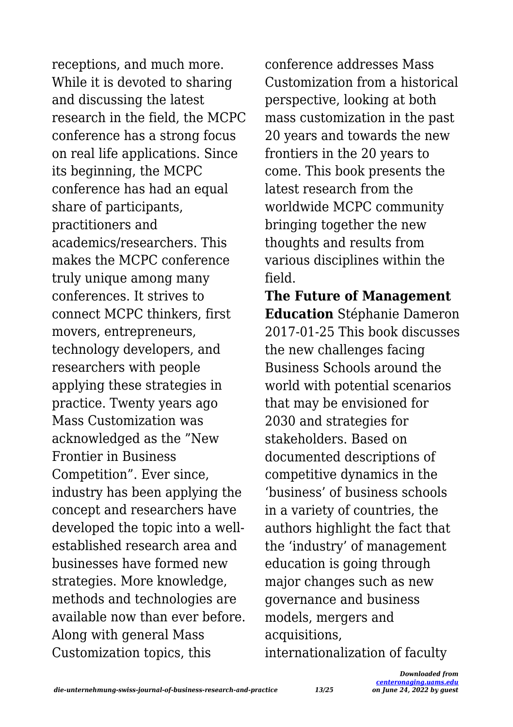receptions, and much more. While it is devoted to sharing and discussing the latest research in the field, the MCPC conference has a strong focus on real life applications. Since its beginning, the MCPC conference has had an equal share of participants, practitioners and academics/researchers. This makes the MCPC conference truly unique among many conferences. It strives to connect MCPC thinkers, first movers, entrepreneurs, technology developers, and researchers with people applying these strategies in practice. Twenty years ago Mass Customization was acknowledged as the "New Frontier in Business Competition". Ever since, industry has been applying the concept and researchers have developed the topic into a wellestablished research area and businesses have formed new strategies. More knowledge, methods and technologies are available now than ever before. Along with general Mass Customization topics, this

conference addresses Mass Customization from a historical perspective, looking at both mass customization in the past 20 years and towards the new frontiers in the 20 years to come. This book presents the latest research from the worldwide MCPC community bringing together the new thoughts and results from various disciplines within the field.

**The Future of Management Education** Stéphanie Dameron 2017-01-25 This book discusses the new challenges facing Business Schools around the world with potential scenarios that may be envisioned for 2030 and strategies for stakeholders. Based on documented descriptions of competitive dynamics in the 'business' of business schools in a variety of countries, the authors highlight the fact that the 'industry' of management education is going through major changes such as new governance and business models, mergers and acquisitions, internationalization of faculty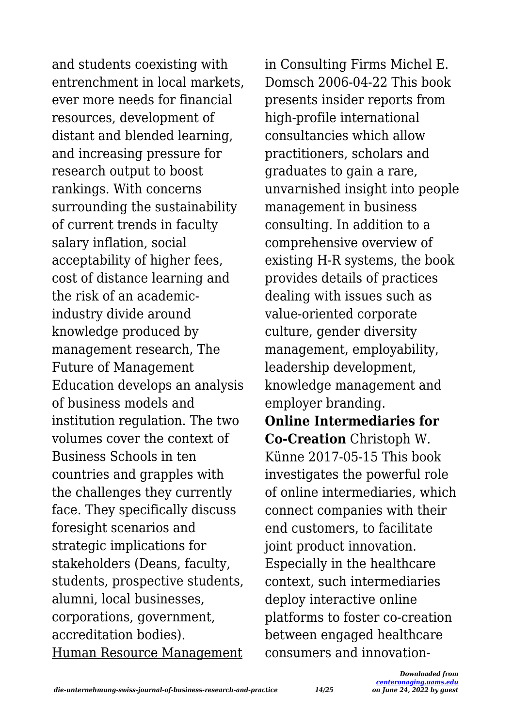and students coexisting with entrenchment in local markets, ever more needs for financial resources, development of distant and blended learning, and increasing pressure for research output to boost rankings. With concerns surrounding the sustainability of current trends in faculty salary inflation, social acceptability of higher fees, cost of distance learning and the risk of an academicindustry divide around knowledge produced by management research, The Future of Management Education develops an analysis of business models and institution regulation. The two volumes cover the context of Business Schools in ten countries and grapples with the challenges they currently face. They specifically discuss foresight scenarios and strategic implications for stakeholders (Deans, faculty, students, prospective students, alumni, local businesses, corporations, government, accreditation bodies). Human Resource Management

in Consulting Firms Michel E. Domsch 2006-04-22 This book presents insider reports from high-profile international consultancies which allow practitioners, scholars and graduates to gain a rare, unvarnished insight into people management in business consulting. In addition to a comprehensive overview of existing H-R systems, the book provides details of practices dealing with issues such as value-oriented corporate culture, gender diversity management, employability, leadership development, knowledge management and employer branding.

**Online Intermediaries for Co-Creation** Christoph W. Künne 2017-05-15 This book investigates the powerful role of online intermediaries, which connect companies with their end customers, to facilitate joint product innovation. Especially in the healthcare context, such intermediaries deploy interactive online platforms to foster co-creation between engaged healthcare consumers and innovation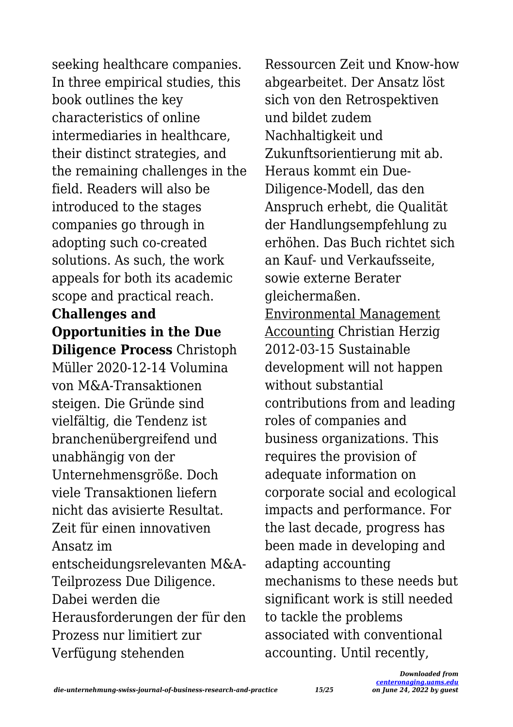seeking healthcare companies. In three empirical studies, this book outlines the key characteristics of online intermediaries in healthcare, their distinct strategies, and the remaining challenges in the field. Readers will also be introduced to the stages companies go through in adopting such co-created solutions. As such, the work appeals for both its academic scope and practical reach.

# **Challenges and Opportunities in the Due**

**Diligence Process** Christoph Müller 2020-12-14 Volumina von  $M\delta_{\tau}\Delta$ -Transaktionen steigen. Die Gründe sind vielfältig, die Tendenz ist branchenübergreifend und unabhängig von der Unternehmensgröße. Doch viele Transaktionen liefern nicht das avisierte Resultat. Zeit für einen innovativen Ansatz im entscheidungsrelevanten M&A-Teilprozess Due Diligence. Dabei werden die Herausforderungen der für den Prozess nur limitiert zur Verfügung stehenden

Ressourcen Zeit und Know-how abgearbeitet. Der Ansatz löst sich von den Retrospektiven und bildet zudem Nachhaltigkeit und Zukunftsorientierung mit ab. Heraus kommt ein Due-Diligence-Modell, das den Anspruch erhebt, die Qualität der Handlungsempfehlung zu erhöhen. Das Buch richtet sich an Kauf- und Verkaufsseite, sowie externe Berater gleichermaßen. Environmental Management Accounting Christian Herzig 2012-03-15 Sustainable development will not happen without substantial contributions from and leading roles of companies and business organizations. This requires the provision of adequate information on corporate social and ecological impacts and performance. For the last decade, progress has been made in developing and adapting accounting mechanisms to these needs but significant work is still needed to tackle the problems associated with conventional accounting. Until recently,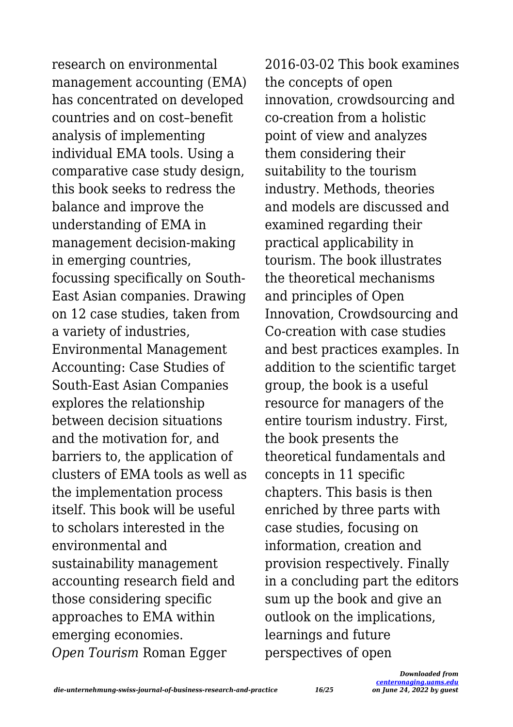research on environmental management accounting (EMA) has concentrated on developed countries and on cost–benefit analysis of implementing individual EMA tools. Using a comparative case study design, this book seeks to redress the balance and improve the understanding of EMA in management decision-making in emerging countries, focussing specifically on South-East Asian companies. Drawing on 12 case studies, taken from a variety of industries, Environmental Management Accounting: Case Studies of South-East Asian Companies explores the relationship between decision situations and the motivation for, and barriers to, the application of clusters of EMA tools as well as the implementation process itself. This book will be useful to scholars interested in the environmental and sustainability management accounting research field and those considering specific approaches to EMA within emerging economies. *Open Tourism* Roman Egger

2016-03-02 This book examines the concepts of open innovation, crowdsourcing and co-creation from a holistic point of view and analyzes them considering their suitability to the tourism industry. Methods, theories and models are discussed and examined regarding their practical applicability in tourism. The book illustrates the theoretical mechanisms and principles of Open Innovation, Crowdsourcing and Co-creation with case studies and best practices examples. In addition to the scientific target group, the book is a useful resource for managers of the entire tourism industry. First, the book presents the theoretical fundamentals and concepts in 11 specific chapters. This basis is then enriched by three parts with case studies, focusing on information, creation and provision respectively. Finally in a concluding part the editors sum up the book and give an outlook on the implications, learnings and future perspectives of open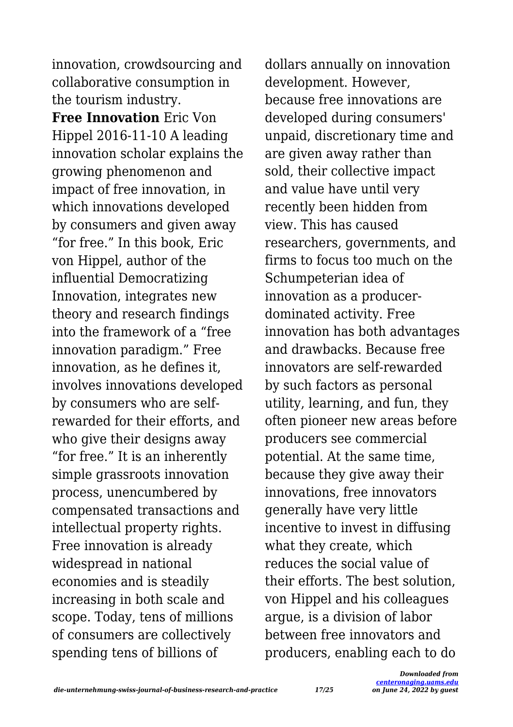innovation, crowdsourcing and collaborative consumption in the tourism industry.

**Free Innovation** Eric Von Hippel 2016-11-10 A leading innovation scholar explains the growing phenomenon and impact of free innovation, in which innovations developed by consumers and given away "for free." In this book, Eric von Hippel, author of the influential Democratizing Innovation, integrates new theory and research findings into the framework of a "free innovation paradigm." Free innovation, as he defines it, involves innovations developed by consumers who are selfrewarded for their efforts, and who give their designs away "for free." It is an inherently simple grassroots innovation process, unencumbered by compensated transactions and intellectual property rights. Free innovation is already widespread in national economies and is steadily increasing in both scale and scope. Today, tens of millions of consumers are collectively spending tens of billions of

dollars annually on innovation development. However, because free innovations are developed during consumers' unpaid, discretionary time and are given away rather than sold, their collective impact and value have until very recently been hidden from view. This has caused researchers, governments, and firms to focus too much on the Schumpeterian idea of innovation as a producerdominated activity. Free innovation has both advantages and drawbacks. Because free innovators are self-rewarded by such factors as personal utility, learning, and fun, they often pioneer new areas before producers see commercial potential. At the same time, because they give away their innovations, free innovators generally have very little incentive to invest in diffusing what they create, which reduces the social value of their efforts. The best solution, von Hippel and his colleagues argue, is a division of labor between free innovators and producers, enabling each to do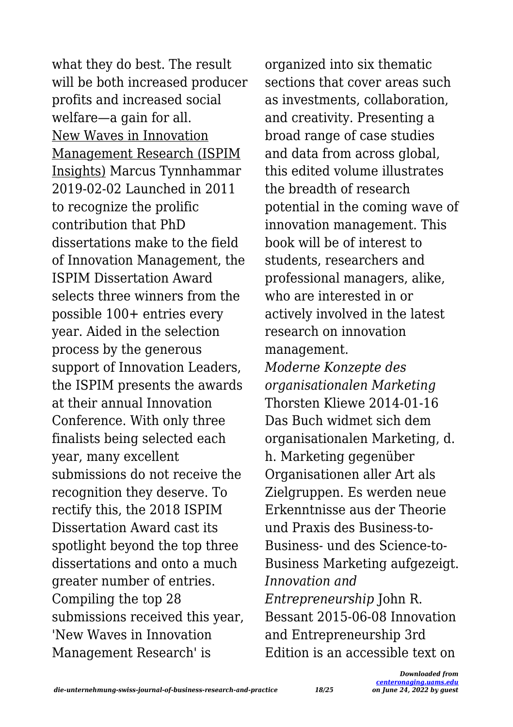what they do best. The result will be both increased producer profits and increased social welfare—a gain for all. New Waves in Innovation Management Research (ISPIM Insights) Marcus Tynnhammar 2019-02-02 Launched in 2011 to recognize the prolific contribution that PhD dissertations make to the field of Innovation Management, the ISPIM Dissertation Award selects three winners from the possible 100+ entries every year. Aided in the selection process by the generous support of Innovation Leaders, the ISPIM presents the awards at their annual Innovation Conference. With only three finalists being selected each year, many excellent submissions do not receive the recognition they deserve. To rectify this, the 2018 ISPIM Dissertation Award cast its spotlight beyond the top three dissertations and onto a much greater number of entries. Compiling the top 28 submissions received this year, 'New Waves in Innovation Management Research' is

organized into six thematic sections that cover areas such as investments, collaboration, and creativity. Presenting a broad range of case studies and data from across global, this edited volume illustrates the breadth of research potential in the coming wave of innovation management. This book will be of interest to students, researchers and professional managers, alike, who are interested in or actively involved in the latest research on innovation management. *Moderne Konzepte des organisationalen Marketing* Thorsten Kliewe 2014-01-16 Das Buch widmet sich dem organisationalen Marketing, d. h. Marketing gegenüber Organisationen aller Art als Zielgruppen. Es werden neue Erkenntnisse aus der Theorie und Praxis des Business-to-Business- und des Science-to-Business Marketing aufgezeigt.

*Innovation and Entrepreneurship* John R. Bessant 2015-06-08 Innovation and Entrepreneurship 3rd Edition is an accessible text on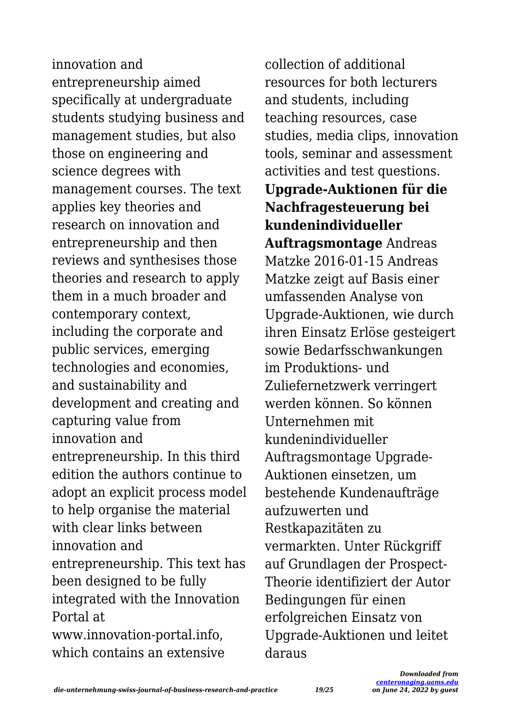innovation and entrepreneurship aimed specifically at undergraduate students studying business and management studies, but also those on engineering and science degrees with management courses. The text applies key theories and research on innovation and entrepreneurship and then reviews and synthesises those theories and research to apply them in a much broader and contemporary context, including the corporate and public services, emerging technologies and economies, and sustainability and development and creating and capturing value from innovation and entrepreneurship. In this third edition the authors continue to adopt an explicit process model to help organise the material with clear links between innovation and entrepreneurship. This text has been designed to be fully integrated with the Innovation Portal at www.innovation-portal.info, which contains an extensive

collection of additional resources for both lecturers and students, including teaching resources, case studies, media clips, innovation tools, seminar and assessment activities and test questions. **Upgrade-Auktionen für die Nachfragesteuerung bei kundenindividueller Auftragsmontage** Andreas Matzke 2016-01-15 Andreas Matzke zeigt auf Basis einer umfassenden Analyse von Upgrade-Auktionen, wie durch ihren Einsatz Erlöse gesteigert sowie Bedarfsschwankungen im Produktions- und Zuliefernetzwerk verringert werden können. So können Unternehmen mit kundenindividueller Auftragsmontage Upgrade-Auktionen einsetzen, um bestehende Kundenaufträge aufzuwerten und Restkapazitäten zu vermarkten. Unter Rückgriff auf Grundlagen der Prospect-Theorie identifiziert der Autor Bedingungen für einen erfolgreichen Einsatz von Upgrade-Auktionen und leitet daraus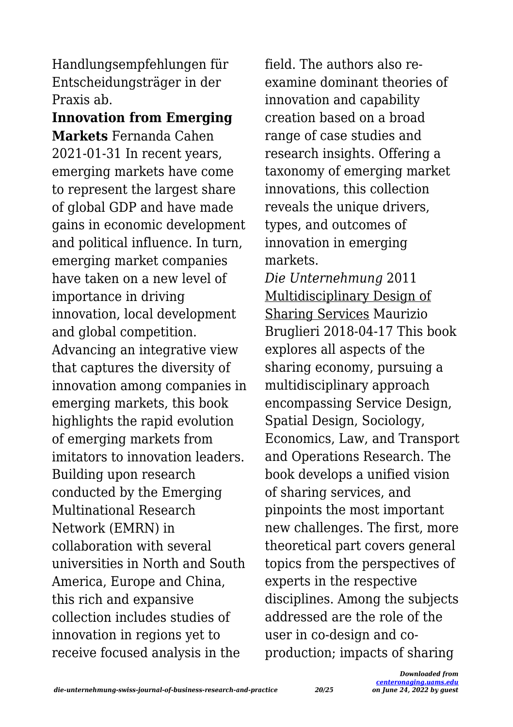Handlungsempfehlungen für Entscheidungsträger in der Praxis ab.

**Innovation from Emerging Markets** Fernanda Cahen 2021-01-31 In recent years, emerging markets have come to represent the largest share of global GDP and have made gains in economic development and political influence. In turn, emerging market companies have taken on a new level of importance in driving innovation, local development and global competition. Advancing an integrative view that captures the diversity of innovation among companies in emerging markets, this book highlights the rapid evolution of emerging markets from imitators to innovation leaders. Building upon research conducted by the Emerging Multinational Research Network (EMRN) in collaboration with several universities in North and South America, Europe and China, this rich and expansive collection includes studies of innovation in regions yet to receive focused analysis in the

field. The authors also reexamine dominant theories of innovation and capability creation based on a broad range of case studies and research insights. Offering a taxonomy of emerging market innovations, this collection reveals the unique drivers, types, and outcomes of innovation in emerging markets.

*Die Unternehmung* 2011 Multidisciplinary Design of Sharing Services Maurizio Bruglieri 2018-04-17 This book explores all aspects of the sharing economy, pursuing a multidisciplinary approach encompassing Service Design, Spatial Design, Sociology, Economics, Law, and Transport and Operations Research. The book develops a unified vision of sharing services, and pinpoints the most important new challenges. The first, more theoretical part covers general topics from the perspectives of experts in the respective disciplines. Among the subjects addressed are the role of the user in co-design and coproduction; impacts of sharing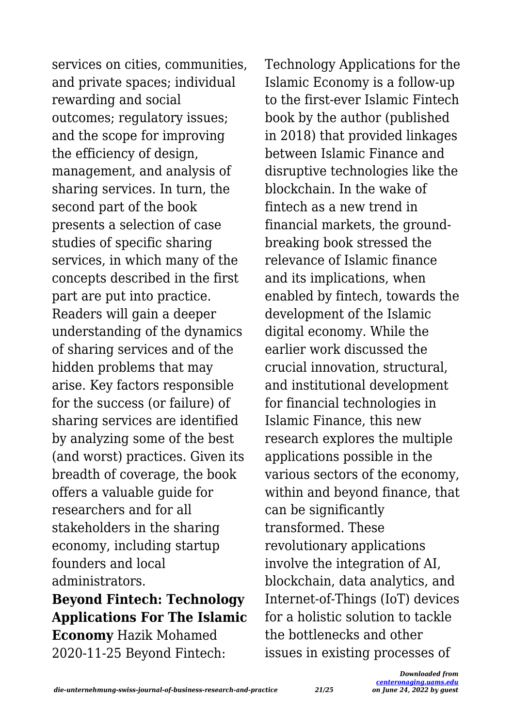services on cities, communities, and private spaces; individual rewarding and social outcomes; regulatory issues; and the scope for improving the efficiency of design, management, and analysis of sharing services. In turn, the second part of the book presents a selection of case studies of specific sharing services, in which many of the concepts described in the first part are put into practice. Readers will gain a deeper understanding of the dynamics of sharing services and of the hidden problems that may arise. Key factors responsible for the success (or failure) of sharing services are identified by analyzing some of the best (and worst) practices. Given its breadth of coverage, the book offers a valuable guide for researchers and for all stakeholders in the sharing economy, including startup founders and local administrators.

# **Beyond Fintech: Technology Applications For The Islamic Economy** Hazik Mohamed 2020-11-25 Beyond Fintech:

Technology Applications for the Islamic Economy is a follow-up to the first-ever Islamic Fintech book by the author (published in 2018) that provided linkages between Islamic Finance and disruptive technologies like the blockchain. In the wake of fintech as a new trend in financial markets, the groundbreaking book stressed the relevance of Islamic finance and its implications, when enabled by fintech, towards the development of the Islamic digital economy. While the earlier work discussed the crucial innovation, structural, and institutional development for financial technologies in Islamic Finance, this new research explores the multiple applications possible in the various sectors of the economy, within and beyond finance, that can be significantly transformed. These revolutionary applications involve the integration of AI, blockchain, data analytics, and Internet-of-Things (IoT) devices for a holistic solution to tackle the bottlenecks and other issues in existing processes of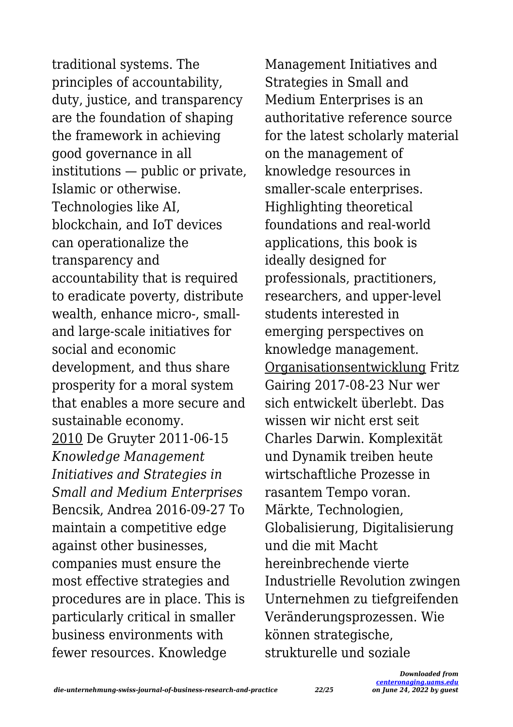traditional systems. The principles of accountability, duty, justice, and transparency are the foundation of shaping the framework in achieving good governance in all institutions — public or private, Islamic or otherwise. Technologies like AI, blockchain, and IoT devices can operationalize the transparency and accountability that is required to eradicate poverty, distribute wealth, enhance micro-, smalland large-scale initiatives for social and economic development, and thus share prosperity for a moral system that enables a more secure and sustainable economy. 2010 De Gruyter 2011-06-15 *Knowledge Management Initiatives and Strategies in Small and Medium Enterprises* Bencsik, Andrea 2016-09-27 To maintain a competitive edge against other businesses, companies must ensure the most effective strategies and procedures are in place. This is particularly critical in smaller business environments with fewer resources. Knowledge

Management Initiatives and Strategies in Small and Medium Enterprises is an authoritative reference source for the latest scholarly material on the management of knowledge resources in smaller-scale enterprises. Highlighting theoretical foundations and real-world applications, this book is ideally designed for professionals, practitioners, researchers, and upper-level students interested in emerging perspectives on knowledge management. Organisationsentwicklung Fritz Gairing 2017-08-23 Nur wer sich entwickelt überlebt. Das wissen wir nicht erst seit Charles Darwin. Komplexität und Dynamik treiben heute wirtschaftliche Prozesse in rasantem Tempo voran. Märkte, Technologien, Globalisierung, Digitalisierung und die mit Macht hereinbrechende vierte Industrielle Revolution zwingen Unternehmen zu tiefgreifenden Veränderungsprozessen. Wie können strategische, strukturelle und soziale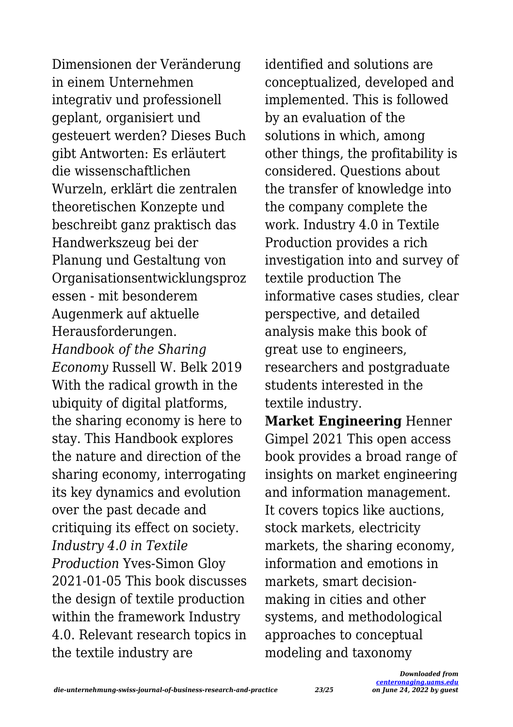Dimensionen der Veränderung in einem Unternehmen integrativ und professionell geplant, organisiert und gesteuert werden? Dieses Buch gibt Antworten: Es erläutert die wissenschaftlichen Wurzeln, erklärt die zentralen theoretischen Konzepte und beschreibt ganz praktisch das Handwerkszeug bei der Planung und Gestaltung von Organisationsentwicklungsproz essen - mit besonderem Augenmerk auf aktuelle Herausforderungen. *Handbook of the Sharing Economy* Russell W. Belk 2019 With the radical growth in the ubiquity of digital platforms, the sharing economy is here to stay. This Handbook explores the nature and direction of the sharing economy, interrogating its key dynamics and evolution over the past decade and critiquing its effect on society. *Industry 4.0 in Textile Production* Yves-Simon Gloy 2021-01-05 This book discusses the design of textile production within the framework Industry 4.0. Relevant research topics in the textile industry are

identified and solutions are conceptualized, developed and implemented. This is followed by an evaluation of the solutions in which, among other things, the profitability is considered. Questions about the transfer of knowledge into the company complete the work. Industry 4.0 in Textile Production provides a rich investigation into and survey of textile production The informative cases studies, clear perspective, and detailed analysis make this book of great use to engineers, researchers and postgraduate students interested in the textile industry.

**Market Engineering** Henner Gimpel 2021 This open access book provides a broad range of insights on market engineering and information management. It covers topics like auctions, stock markets, electricity markets, the sharing economy, information and emotions in markets, smart decisionmaking in cities and other systems, and methodological approaches to conceptual modeling and taxonomy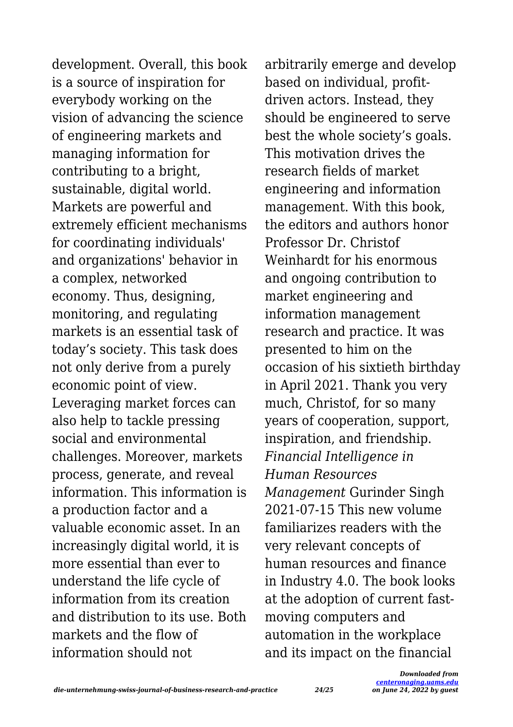development. Overall, this book is a source of inspiration for everybody working on the vision of advancing the science of engineering markets and managing information for contributing to a bright, sustainable, digital world. Markets are powerful and extremely efficient mechanisms for coordinating individuals' and organizations' behavior in a complex, networked economy. Thus, designing, monitoring, and regulating markets is an essential task of today's society. This task does not only derive from a purely economic point of view. Leveraging market forces can also help to tackle pressing social and environmental challenges. Moreover, markets process, generate, and reveal information. This information is a production factor and a valuable economic asset. In an increasingly digital world, it is more essential than ever to understand the life cycle of information from its creation and distribution to its use. Both markets and the flow of information should not

arbitrarily emerge and develop based on individual, profitdriven actors. Instead, they should be engineered to serve best the whole society's goals. This motivation drives the research fields of market engineering and information management. With this book, the editors and authors honor Professor Dr. Christof Weinhardt for his enormous and ongoing contribution to market engineering and information management research and practice. It was presented to him on the occasion of his sixtieth birthday in April 2021. Thank you very much, Christof, for so many years of cooperation, support, inspiration, and friendship. *Financial Intelligence in Human Resources Management* Gurinder Singh 2021-07-15 This new volume familiarizes readers with the very relevant concepts of human resources and finance in Industry 4.0. The book looks at the adoption of current fastmoving computers and automation in the workplace and its impact on the financial